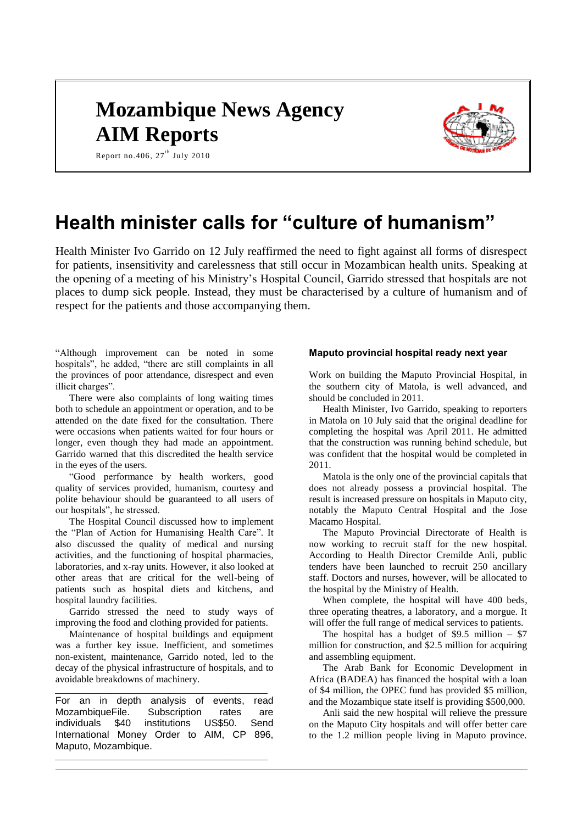# **Mozambique News Agency AIM Reports**



Report no.406,  $27<sup>th</sup>$  July 2010

# **Health minister calls for "culture of humanism"**

Health Minister Ivo Garrido on 12 July reaffirmed the need to fight against all forms of disrespect for patients, insensitivity and carelessness that still occur in Mozambican health units. Speaking at the opening of a meeting of his Ministry's Hospital Council, Garrido stressed that hospitals are not places to dump sick people. Instead, they must be characterised by a culture of humanism and of respect for the patients and those accompanying them.

"Although improvement can be noted in some hospitals", he added, "there are still complaints in all the provinces of poor attendance, disrespect and even illicit charges".

There were also complaints of long waiting times both to schedule an appointment or operation, and to be attended on the date fixed for the consultation. There were occasions when patients waited for four hours or longer, even though they had made an appointment. Garrido warned that this discredited the health service in the eyes of the users.

"Good performance by health workers, good quality of services provided, humanism, courtesy and polite behaviour should be guaranteed to all users of our hospitals", he stressed.

The Hospital Council discussed how to implement the "Plan of Action for Humanising Health Care". It also discussed the quality of medical and nursing activities, and the functioning of hospital pharmacies, laboratories, and x-ray units. However, it also looked at other areas that are critical for the well-being of patients such as hospital diets and kitchens, and hospital laundry facilities.

Garrido stressed the need to study ways of improving the food and clothing provided for patients.

Maintenance of hospital buildings and equipment was a further key issue. Inefficient, and sometimes non-existent, maintenance, Garrido noted, led to the decay of the physical infrastructure of hospitals, and to avoidable breakdowns of machinery.

\_\_\_\_\_\_\_\_\_\_\_\_\_\_\_\_\_\_\_\_\_\_\_\_\_\_\_\_\_\_\_\_\_\_\_\_\_\_\_\_\_\_\_\_\_\_\_\_\_\_\_\_\_\_\_\_\_\_\_\_\_\_\_\_\_

For an in depth analysis of events, read MozambiqueFile. Subscription rates are individuals \$40 institutions US\$50. Send International Money Order to AIM, CP 896, Maputo, Mozambique.

\_\_\_\_\_\_\_\_\_\_\_\_\_\_\_\_\_\_\_\_\_\_\_\_\_\_\_\_\_\_\_\_\_\_\_\_\_\_\_\_\_\_\_\_\_\_\_\_\_\_\_\_\_\_\_\_\_\_\_\_\_\_\_\_\_

#### **Maputo provincial hospital ready next year**

Work on building the Maputo Provincial Hospital, in the southern city of Matola, is well advanced, and should be concluded in 2011.

Health Minister, Ivo Garrido, speaking to reporters in Matola on 10 July said that the original deadline for completing the hospital was April 2011. He admitted that the construction was running behind schedule, but was confident that the hospital would be completed in 2011.

Matola is the only one of the provincial capitals that does not already possess a provincial hospital. The result is increased pressure on hospitals in Maputo city, notably the Maputo Central Hospital and the Jose Macamo Hospital.

The Maputo Provincial Directorate of Health is now working to recruit staff for the new hospital. According to Health Director Cremilde Anli, public tenders have been launched to recruit 250 ancillary staff. Doctors and nurses, however, will be allocated to the hospital by the Ministry of Health.

When complete, the hospital will have 400 beds, three operating theatres, a laboratory, and a morgue. It will offer the full range of medical services to patients.

The hospital has a budget of \$9.5 million  $-$  \$7 million for construction, and \$2.5 million for acquiring and assembling equipment.

The Arab Bank for Economic Development in Africa (BADEA) has financed the hospital with a loan of \$4 million, the OPEC fund has provided \$5 million, and the Mozambique state itself is providing \$500,000.

Anli said the new hospital will relieve the pressure on the Maputo City hospitals and will offer better care to the 1.2 million people living in Maputo province.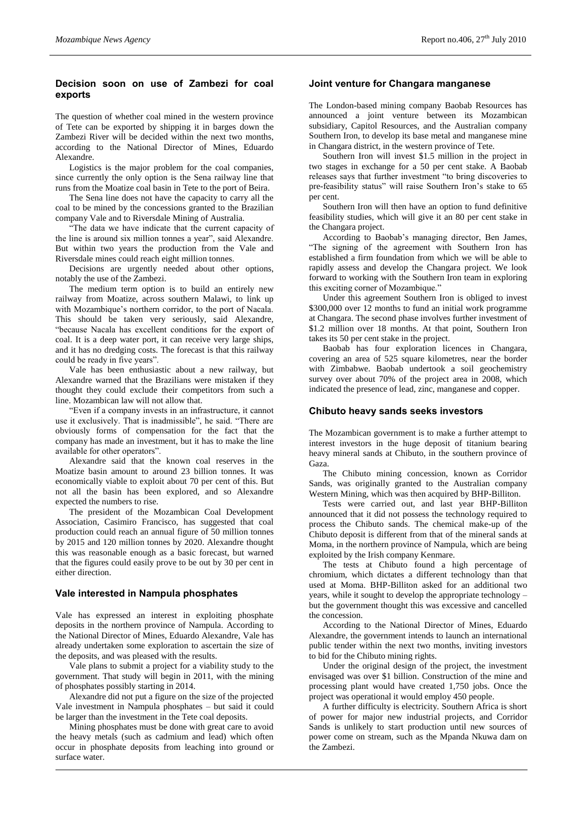### **Decision soon on use of Zambezi for coal exports**

The question of whether coal mined in the western province of Tete can be exported by shipping it in barges down the Zambezi River will be decided within the next two months, according to the National Director of Mines, Eduardo Alexandre.

Logistics is the major problem for the coal companies, since currently the only option is the Sena railway line that runs from the Moatize coal basin in Tete to the port of Beira.

The Sena line does not have the capacity to carry all the coal to be mined by the concessions granted to the Brazilian company Vale and to Riversdale Mining of Australia.

"The data we have indicate that the current capacity of the line is around six million tonnes a year", said Alexandre. But within two years the production from the Vale and Riversdale mines could reach eight million tonnes.

Decisions are urgently needed about other options, notably the use of the Zambezi.

The medium term option is to build an entirely new railway from Moatize, across southern Malawi, to link up with Mozambique's northern corridor, to the port of Nacala. This should be taken very seriously, said Alexandre, "because Nacala has excellent conditions for the export of coal. It is a deep water port, it can receive very large ships, and it has no dredging costs. The forecast is that this railway could be ready in five years".

Vale has been enthusiastic about a new railway, but Alexandre warned that the Brazilians were mistaken if they thought they could exclude their competitors from such a line. Mozambican law will not allow that.

"Even if a company invests in an infrastructure, it cannot use it exclusively. That is inadmissible", he said. "There are obviously forms of compensation for the fact that the company has made an investment, but it has to make the line available for other operators".

Alexandre said that the known coal reserves in the Moatize basin amount to around 23 billion tonnes. It was economically viable to exploit about 70 per cent of this. But not all the basin has been explored, and so Alexandre expected the numbers to rise.

The president of the Mozambican Coal Development Association, Casimiro Francisco, has suggested that coal production could reach an annual figure of 50 million tonnes by 2015 and 120 million tonnes by 2020. Alexandre thought this was reasonable enough as a basic forecast, but warned that the figures could easily prove to be out by 30 per cent in either direction.

#### **Vale interested in Nampula phosphates**

Vale has expressed an interest in exploiting phosphate deposits in the northern province of Nampula. According to the National Director of Mines, Eduardo Alexandre, Vale has already undertaken some exploration to ascertain the size of the deposits, and was pleased with the results.

Vale plans to submit a project for a viability study to the government. That study will begin in 2011, with the mining of phosphates possibly starting in 2014.

Alexandre did not put a figure on the size of the projected Vale investment in Nampula phosphates – but said it could be larger than the investment in the Tete coal deposits.

Mining phosphates must be done with great care to avoid the heavy metals (such as cadmium and lead) which often occur in phosphate deposits from leaching into ground or surface water.

#### **Joint venture for Changara manganese**

The London-based mining company Baobab Resources has announced a joint venture between its Mozambican subsidiary, Capitol Resources, and the Australian company Southern Iron, to develop its base metal and manganese mine in Changara district, in the western province of Tete.

Southern Iron will invest \$1.5 million in the project in two stages in exchange for a 50 per cent stake. A Baobab releases says that further investment "to bring discoveries to pre-feasibility status" will raise Southern Iron's stake to 65 per cent.

Southern Iron will then have an option to fund definitive feasibility studies, which will give it an 80 per cent stake in the Changara project.

According to Baobab's managing director, Ben James, "The signing of the agreement with Southern Iron has established a firm foundation from which we will be able to rapidly assess and develop the Changara project. We look forward to working with the Southern Iron team in exploring this exciting corner of Mozambique."

Under this agreement Southern Iron is obliged to invest \$300,000 over 12 months to fund an initial work programme at Changara. The second phase involves further investment of \$1.2 million over 18 months. At that point, Southern Iron takes its 50 per cent stake in the project.

Baobab has four exploration licences in Changara, covering an area of 525 square kilometres, near the border with Zimbabwe. Baobab undertook a soil geochemistry survey over about 70% of the project area in 2008, which indicated the presence of lead, zinc, manganese and copper.

#### **Chibuto heavy sands seeks investors**

The Mozambican government is to make a further attempt to interest investors in the huge deposit of titanium bearing heavy mineral sands at Chibuto, in the southern province of Gaza.

The Chibuto mining concession, known as Corridor Sands, was originally granted to the Australian company Western Mining, which was then acquired by BHP-Billiton.

Tests were carried out, and last year BHP-Billiton announced that it did not possess the technology required to process the Chibuto sands. The chemical make-up of the Chibuto deposit is different from that of the mineral sands at Moma, in the northern province of Nampula, which are being exploited by the Irish company Kenmare.

The tests at Chibuto found a high percentage of chromium, which dictates a different technology than that used at Moma. BHP-Billiton asked for an additional two years, while it sought to develop the appropriate technology – but the government thought this was excessive and cancelled the concession.

According to the National Director of Mines, Eduardo Alexandre, the government intends to launch an international public tender within the next two months, inviting investors to bid for the Chibuto mining rights.

Under the original design of the project, the investment envisaged was over \$1 billion. Construction of the mine and processing plant would have created 1,750 jobs. Once the project was operational it would employ 450 people.

A further difficulty is electricity. Southern Africa is short of power for major new industrial projects, and Corridor Sands is unlikely to start production until new sources of power come on stream, such as the Mpanda Nkuwa dam on the Zambezi.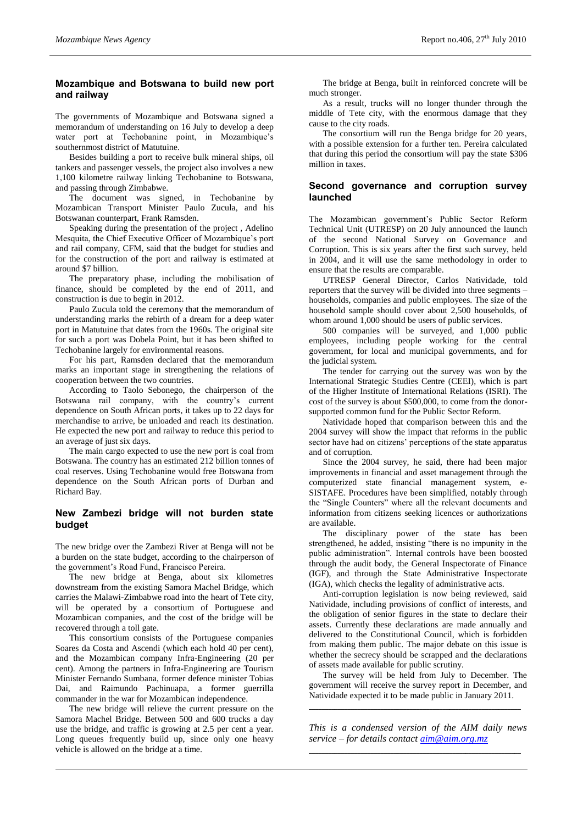#### **Mozambique and Botswana to build new port and railway**

The governments of Mozambique and Botswana signed a memorandum of understanding on 16 July to develop a deep water port at Techobanine point, in Mozambique's southernmost district of Matutuine.

Besides building a port to receive bulk mineral ships, oil tankers and passenger vessels, the project also involves a new 1,100 kilometre railway linking Techobanine to Botswana, and passing through Zimbabwe.

The document was signed, in Techobanine by Mozambican Transport Minister Paulo Zucula, and his Botswanan counterpart, Frank Ramsden.

Speaking during the presentation of the project , Adelino Mesquita, the Chief Executive Officer of Mozambique's port and rail company, CFM, said that the budget for studies and for the construction of the port and railway is estimated at around \$7 billion.

The preparatory phase, including the mobilisation of finance, should be completed by the end of 2011, and construction is due to begin in 2012.

Paulo Zucula told the ceremony that the memorandum of understanding marks the rebirth of a dream for a deep water port in Matutuine that dates from the 1960s. The original site for such a port was Dobela Point, but it has been shifted to Techobanine largely for environmental reasons.

For his part, Ramsden declared that the memorandum marks an important stage in strengthening the relations of cooperation between the two countries.

According to Taolo Sebonego, the chairperson of the Botswana rail company, with the country's current dependence on South African ports, it takes up to 22 days for merchandise to arrive, be unloaded and reach its destination. He expected the new port and railway to reduce this period to an average of just six days.

The main cargo expected to use the new port is coal from Botswana. The country has an estimated 212 billion tonnes of coal reserves. Using Techobanine would free Botswana from dependence on the South African ports of Durban and Richard Bay.

### **New Zambezi bridge will not burden state budget**

The new bridge over the Zambezi River at Benga will not be a burden on the state budget, according to the chairperson of the government's Road Fund, Francisco Pereira.

The new bridge at Benga, about six kilometres downstream from the existing Samora Machel Bridge, which carries the Malawi-Zimbabwe road into the heart of Tete city, will be operated by a consortium of Portuguese and Mozambican companies, and the cost of the bridge will be recovered through a toll gate.

This consortium consists of the Portuguese companies Soares da Costa and Ascendi (which each hold 40 per cent), and the Mozambican company Infra-Engineering (20 per cent). Among the partners in Infra-Engineering are Tourism Minister Fernando Sumbana, former defence minister Tobias Dai, and Raimundo Pachinuapa, a former guerrilla commander in the war for Mozambican independence.

The new bridge will relieve the current pressure on the Samora Machel Bridge. Between 500 and 600 trucks a day use the bridge, and traffic is growing at 2.5 per cent a year. Long queues frequently build up, since only one heavy vehicle is allowed on the bridge at a time.

The bridge at Benga, built in reinforced concrete will be much stronger.

As a result, trucks will no longer thunder through the middle of Tete city, with the enormous damage that they cause to the city roads.

The consortium will run the Benga bridge for 20 years, with a possible extension for a further ten. Pereira calculated that during this period the consortium will pay the state \$306 million in taxes.

#### **Second governance and corruption survey launched**

The Mozambican government's Public Sector Reform Technical Unit (UTRESP) on 20 July announced the launch of the second National Survey on Governance and Corruption. This is six years after the first such survey, held in 2004, and it will use the same methodology in order to ensure that the results are comparable.

UTRESP General Director, Carlos Natividade, told reporters that the survey will be divided into three segments – households, companies and public employees. The size of the household sample should cover about 2,500 households, of whom around 1,000 should be users of public services.

500 companies will be surveyed, and 1,000 public employees, including people working for the central government, for local and municipal governments, and for the judicial system.

The tender for carrying out the survey was won by the International Strategic Studies Centre (CEEI), which is part of the Higher Institute of International Relations (ISRI). The cost of the survey is about \$500,000, to come from the donorsupported common fund for the Public Sector Reform.

Natividade hoped that comparison between this and the 2004 survey will show the impact that reforms in the public sector have had on citizens' perceptions of the state apparatus and of corruption.

Since the 2004 survey, he said, there had been major improvements in financial and asset management through the computerized state financial management system, e-SISTAFE. Procedures have been simplified, notably through the "Single Counters" where all the relevant documents and information from citizens seeking licences or authorizations are available.

The disciplinary power of the state has been strengthened, he added, insisting "there is no impunity in the public administration". Internal controls have been boosted through the audit body, the General Inspectorate of Finance (IGF), and through the State Administrative Inspectorate (IGA), which checks the legality of administrative acts.

Anti-corruption legislation is now being reviewed, said Natividade, including provisions of conflict of interests, and the obligation of senior figures in the state to declare their assets. Currently these declarations are made annually and delivered to the Constitutional Council, which is forbidden from making them public. The major debate on this issue is whether the secrecy should be scrapped and the declarations of assets made available for public scrutiny.

The survey will be held from July to December. The government will receive the survey report in December, and Natividade expected it to be made public in January 2011.

\_\_\_\_\_\_\_\_\_\_\_\_\_\_\_\_\_\_\_\_\_\_\_\_\_\_\_\_\_\_\_\_\_\_\_\_\_\_\_\_\_\_\_\_\_\_\_\_\_\_\_\_\_\_\_\_\_\_\_\_\_\_\_\_\_

*This is a condensed version of the AIM daily news service – for details contact [aim@aim.org.mz](mailto:aim@aim.org.mz)* \_\_\_\_\_\_\_\_\_\_\_\_\_\_\_\_\_\_\_\_\_\_\_\_\_\_\_\_\_\_\_\_\_\_\_\_\_\_\_\_\_\_\_\_\_\_\_\_\_\_\_\_\_\_\_\_\_\_\_\_\_\_\_\_\_